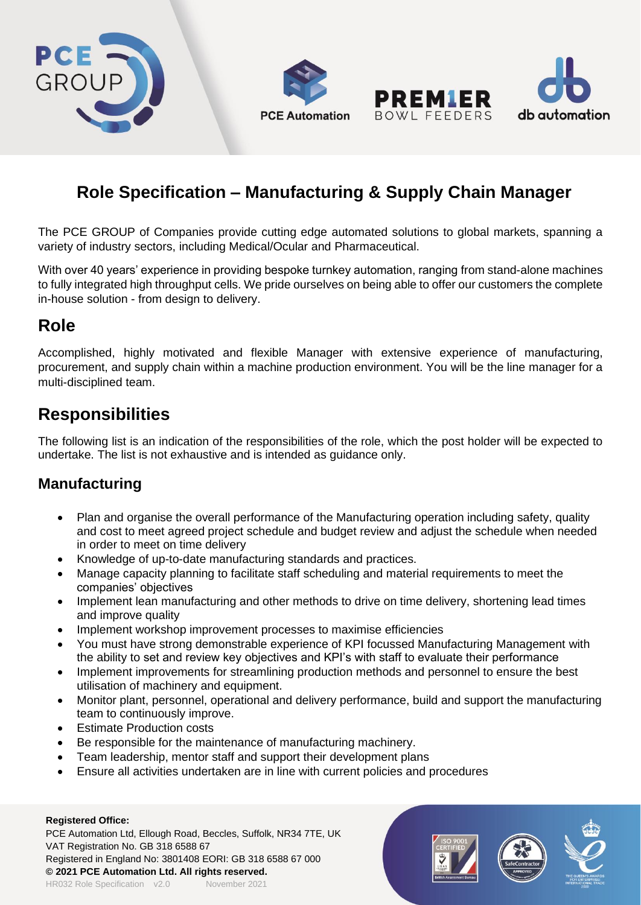

# **Role Specification – Manufacturing & Supply Chain Manager**

The PCE GROUP of Companies provide cutting edge automated solutions to global markets, spanning a variety of industry sectors, including Medical/Ocular and Pharmaceutical.

With over 40 years' experience in providing bespoke turnkey automation, ranging from stand-alone machines to fully integrated high throughput cells. We pride ourselves on being able to offer our customers the complete in-house solution - from design to delivery.

## **Role**

Accomplished, highly motivated and flexible Manager with extensive experience of manufacturing, procurement, and supply chain within a machine production environment. You will be the line manager for a multi-disciplined team.

## **Responsibilities**

The following list is an indication of the responsibilities of the role, which the post holder will be expected to undertake. The list is not exhaustive and is intended as guidance only.

### **Manufacturing**

- Plan and organise the overall performance of the Manufacturing operation including safety, quality and cost to meet agreed project schedule and budget review and adjust the schedule when needed in order to meet on time delivery
- Knowledge of up-to-date manufacturing standards and practices.
- Manage capacity planning to facilitate staff scheduling and material requirements to meet the companies' objectives
- Implement lean manufacturing and other methods to drive on time delivery, shortening lead times and improve quality
- Implement workshop improvement processes to maximise efficiencies
- You must have strong demonstrable experience of KPI focussed Manufacturing Management with the ability to set and review key objectives and KPI's with staff to evaluate their performance
- Implement improvements for streamlining production methods and personnel to ensure the best utilisation of machinery and equipment.
- Monitor plant, personnel, operational and delivery performance, build and support the manufacturing team to continuously improve.
- **Estimate Production costs**
- Be responsible for the maintenance of manufacturing machinery.
- Team leadership, mentor staff and support their development plans
- Ensure all activities undertaken are in line with current policies and procedures

#### **Registered Office:**

PCE Automation Ltd, Ellough Road, Beccles, Suffolk, NR34 7TE, UK VAT Registration No. GB 318 6588 67 Registered in England No: 3801408 EORI: GB 318 6588 67 000 **© 2021 PCE Automation Ltd. All rights reserved.** HR032 Role Specification v2.0 November 2021